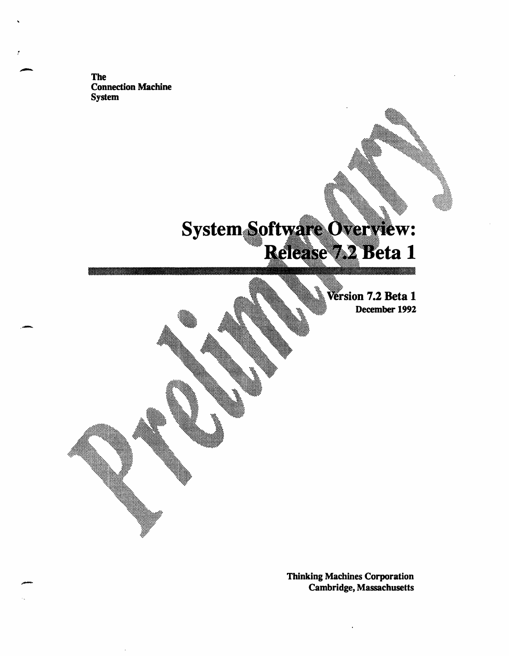The Connection Machine System

# System Software Overview: Release 42 Beta 1

**on 7.2 Beta 1** December 1992

Thinking Machines Corporation Cambridge, Massachusetts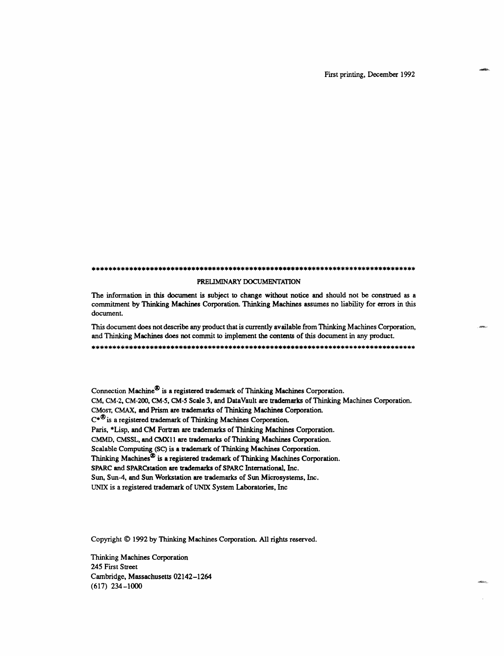First printing, December 1992

#### *...........................................................*

#### PRELIMINARY DOCUMENTATION

The information in this document is subject to change without notice and should not be construed as a commitment by Thinking Machines Corporation. Thinking Machines assumes no liability for errors in this document.

This document does not describe any product that is currently available from Thinking Machines Corporation, and Thinking Machines does not commit to implement the contents of this document in any product.

\*\*\*\*\*\*\*\*\*\*\*\*\*\*\*\*\*\*\*\*\*\*\*\*\*\*\*\*\*\*\*\*\*\*\*\*\*\*\*\*\*\*\*\*\*\*\*\*\*\*\*\*\*\*\*\*\*\*\*\*\*\*\*\*\*\*\*\*\*\*\*\*\*\*\*\*\*\*

Connection Machine® is a registered trademark of Thinking Machines Corporation. CM, CM-2, CM-200, CM-5, CM-5 Scale 3, and DataVault are trademarks of Thinking Machines Corporation. CMosT, CMAX, and Prism are trademarks of Thinking Machines Corporation. C\*® is a registered trademark of Thinking Machines Corporation. Paris, \*Lisp, and CM Fortran are trademarks of Thinking Machines Corporation. CMMD, CMSSL, and CMX11 are trademarks of Thinking Machines Corporation. Scalable Computing (SC) is a trademark of Thinking Machines Corporation. Thinking Machines<sup>®</sup> is a registered trademark of Thinking Machines Corporation. SPARC and SPARCstation are trademarks of SPARC International, Inc. Sun, Sun-4, and Sun Workstation are trademarks of Sun Microsystems, Inc. UNIX is a registered trademark of UNIX System Laboratories, Inc

Copyright © 1992 by Thinking Machines Corporation. All rights reserved.

Thinking Machines Corporation 245 First Street Cambridge, Massachusetts 02142-1264 (617) 234-1000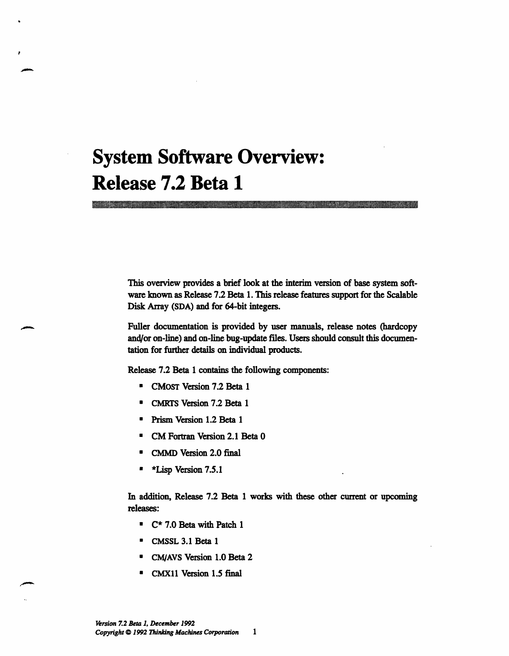# **System Software Overview: Release 7.2 Beta 1**

This overview provides a brief look at the interim version of base system software known as Release 7.2 Beta 1. This release features support for the Scalable Disk Array (SDA) and for 64-bit integers.

Fuller documentation is provided by user manuals, release notes (hardcopy and/or on-line) and on-line bug-update files. Users should consult this documentation for further details on individual products.

Release 7.2 Beta 1 contains the following components:

- \* CMosT Version 7.2 Beta 1
- \* CMRTS Version 7.2 Beta 1
- \* Prism Version 1.2 Beta 1
- \* CM Fortran Version 2.1 Beta 0
- \* CMMD Version 2.0 final
- **\*** \*Lisp Version 7.5.1

In addition, Release 7.2 Beta 1 works with these other current or upcoming releases:

- \* C\* 7.0 Beta with Patch 1
- \* CMSSL 3.1 Beta 1
- \* CM/AVS Version 1.0 Beta 2
- CMX11 Version 1.5 final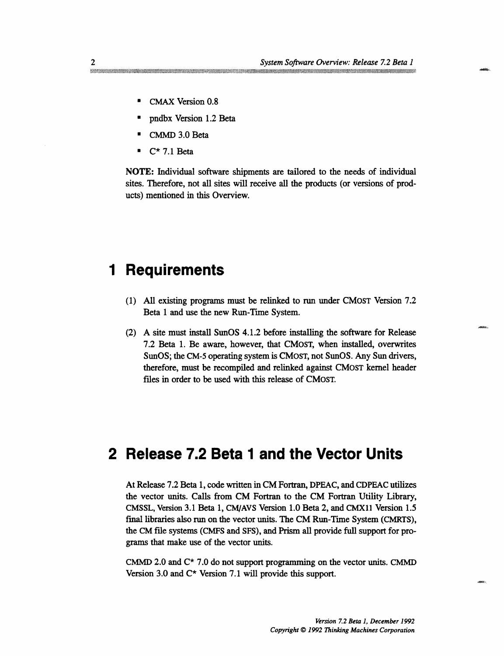- CMAX Version 0.8
- pndbx Version 1.2 Beta
- CMMD 3.0 Beta
- $C^*$  7.1 Beta

NOTE: Individual software shipments are tailored to the needs of individual sites. Therefore, not all sites will receive all the products (or versions of products) mentioned in this Overview.

## **1 Requirements**

- (1) All existing programs must be relinked to run under CMosT Version 7.2 Beta 1 and use the new Run-Time System.
- (2) A site must install SunOS 4.1.2 before installing the software for Release 7.2 Beta 1. Be aware, however, that CMosT, when installed, overwrites SunOS; the CM-5 operating system is CMosT, not SunOS. Any Sun drivers, therefore, must be recompiled and relinked against CMosT kernel header files in order to be used with this release of CMosT.

## **2 Release 7.2 Beta 1 and the Vector Units**

At Release 7.2 Beta 1, code written in CM Fortran, DPEAC, and CDPEAC utilizes the vector units. Calls from CM Fortran to the CM Fortran Utility Library, CMSSL, Version 3.1 Beta 1, CM/AVS Version 1.0 Beta 2, and CMXll Version 1.5 final libraries also run on the vector units. The CM Run-Time System (CMRTS), the CM file systems (CMFS and SFS), and Prism all provide full support for programs that make use of the vector units.

CMMD 2.0 and  $C^*$  7.0 do not support programming on the vector units. CMMD Version 3.0 and C\* Version 7.1 will provide this support.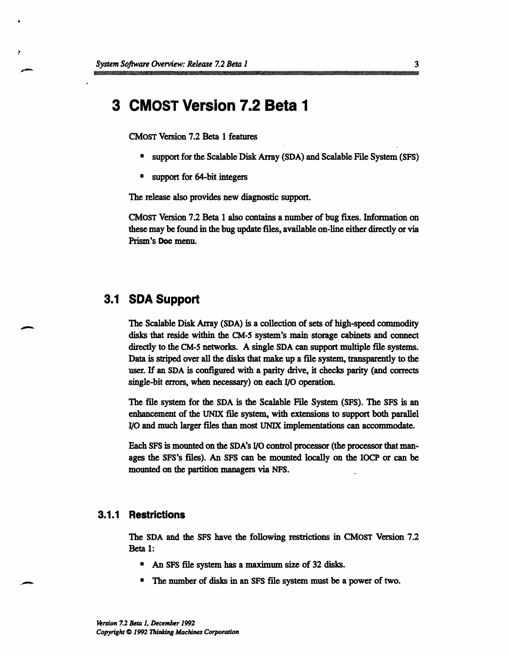## **3 CMOST Version 7.2 Beta 1**

CMosT Version 7.2 Beta 1 features

- support for the Scalable Disk Array (SDA) and Scalable File System (SFS)
- support for 64-bit integers

The release also provides new diagnostic support.

CMosT Version 7.2 Beta 1 also contains a number of bug fixes. Information on these may be found in the bug update files, available on-line either directly or via Prism's Doc menu.

## **3.1 SDA Support**

The Scalable Disk Array (SDA) is a collection of sets of high-speed commodity disks that reside within the CM-5 system's main storage cabinets and connect directly to the CM-5 networks. A single SDA can support multiple file systems. Data is striped over all the disks that make up a file system, transparently to the user. If an SDA is configured with a parity drive, it checks parity (and corrects single-bit errors, when necessary) on each I/O operation.

The file system for the SDA is the Scalable File System (SFS). The SFS is an enhancement of the UNIX file system, with extensions to support both parallel I/O and much larger files than most UNIX implementations can accommodate.

Each SFS is mounted on the SDA's I/O control processor (the processor that manages the SFS's files). An SFS can be mounted locally on the IOCP or can be mounted on the partition managers via NFS.

## **3.1.1 Restrictions**

The SDA and the SFS have the following restrictions in CMOST Version 7.2 Beta 1:

- An SFS file system has a maximum size of 32 disks.
- The number of disks in an SFS file system must be a power of two.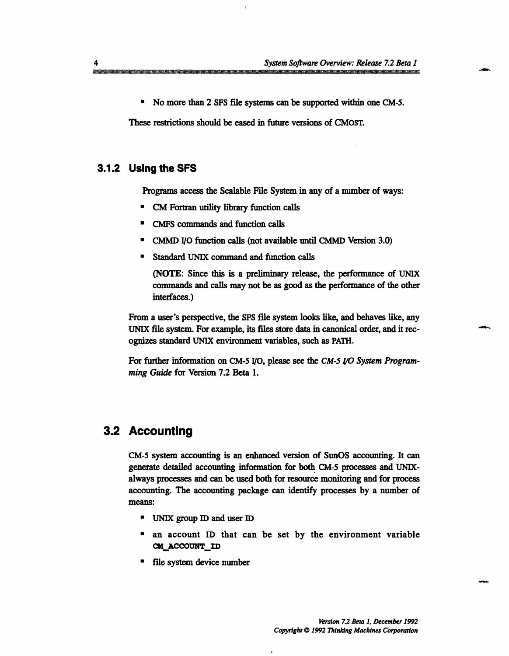\* No more than 2 SFS file systems can be supported within one CM-5.

These restrictions should be eased in future versions of CMOST.

## **3.1.2 Using the SFS**

Programs access the Scalable File System in any of a number of ways:

- CM Fortran utility library function calls
- \* CMFS commands and function calls
- CMMD I/O function calls (not available until CMMD Version 3.0)
- Standard UNIX command and function calls

(NOTE: Since this is a preliminary release, the performance of UNIX commands and calls may not be as good as the performance of the other interfaces.)

From a user's perspective, the SFS file system looks like, and behaves like, any UNIX file system. For example, its files store data in canonical order, and it recognizes standard UNIX environment variables, such as PATH.

For further information on CM-5 I/O, please see the *CM-5 /0 System Programming Guide* for Version 7.2 Beta 1.

## **3.2 Accounting**

CM-5 system accounting is an enhanced version of SunOS accounting. It can generate detailed accounting information for both CM-5 processes and UNIXalways processes and can be used both for resource monitoring and for process accounting. The accounting package can identify processes by a number of means:

- \* UNIX group ID and user ID
- · an account ID that can be set by the environment variable CM ACCOUNT ID
- \* file system device number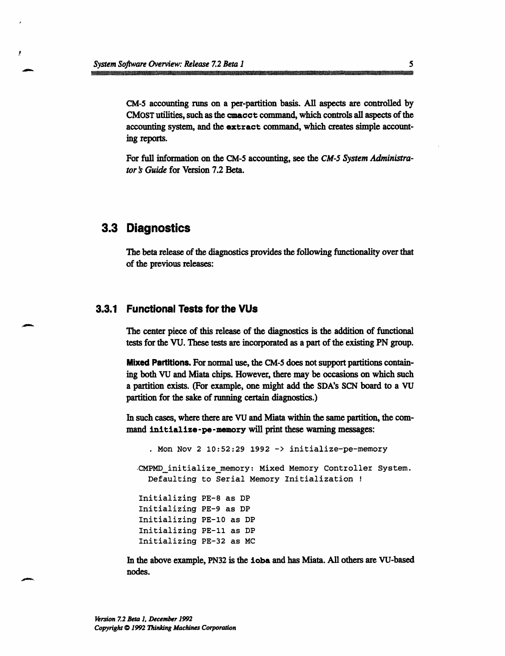CM-5 accounting runs on a per-partition basis. All aspects are controlled by CMosT utilities, such as the cmacct command, which controls all aspects of the accounting system, and the extract command, which creates simple accounting reports.

For full information on the CM-5 accounting, see the *CM-5 System Administrator 's Guide* for Version 7.2 Beta.

## **3.3 Diagnostics**

The beta release of the diagnostics provides the following functionality over that of the previous releases:

## **3.3.1 Functional Tests for the VUs**

The center piece of this release of the diagnostics is the addition of functional tests for the VU. These tests are incorporated as a part of the existing PN group.

**Mixed Partitions.** For normal use, the CM-5 does not support partitions containing both VU and Miata chips. However, there may be occasions on which such a partition exists. (For example, one might add the SDA's SCN board to a VU partition for the sake of running certain diagnostics.)

In such cases, where there are VU and Miata within the same partition, the command **initialize-pe-memory** will print these warning messages:

```
. Mon Nov 2 10:52:29 1992 -> initialize-pe-memory
.CMPMD initializememory: Mixed Memory Controller System.
  Defaulting to Serial Memory Initialization !
Initializing PE-8 as DP
Initializing PE-9 as DP
Initializing PE-10 as DP
Initializing PE-11 as DP
Initializing PE-32 as MC
```
In the above example, PN32 is the ioba and has Miata. All others are VU-based nodes.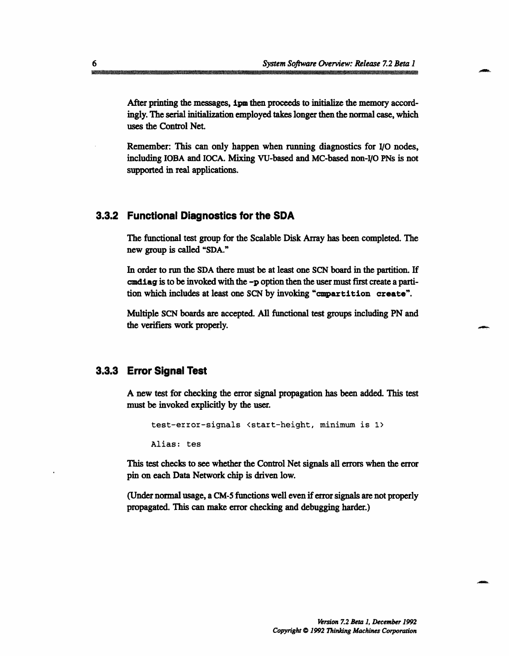After printing the messages, ipm then proceeds to initialize the memory accordingly. The serial initialization employed takes longer then the normal case, which uses the Control Net.

Remember: This can only happen when running diagnostics for I/0 nodes, including IOBA and IOCA. Mixing VU-based and MC-based non-I/O PNs is not supported in real applications.

## **3.3.2 Functional Diagnostics for the SDA**

The functional test group for the Scalable Disk Array has been completed. The new group is called "SDA."

In order to run the SDA there must be at least one SCN board in the partition. If cmdiag is to be invoked with the -p option then the user must first create a partition which includes at least one SCN by invoking "cmpartition create".

Multiple SCN boards are accepted. All functional test groups including PN and the verifiers work properly.

## **3.3.3 Error Signal Test**

A new test for checking the error signal propagation has been added. This test must be invoked explicitly by the user.

test-error-signals <start-height, minimum is 1>

Alias: tes

This test checks to see whether the Control Net signals all errors when the error pin on each Data Network chip is driven low.

(Under normal usage, a CM-5 functions well even if error signals are not properly propagated. This can make error checking and debugging harder.)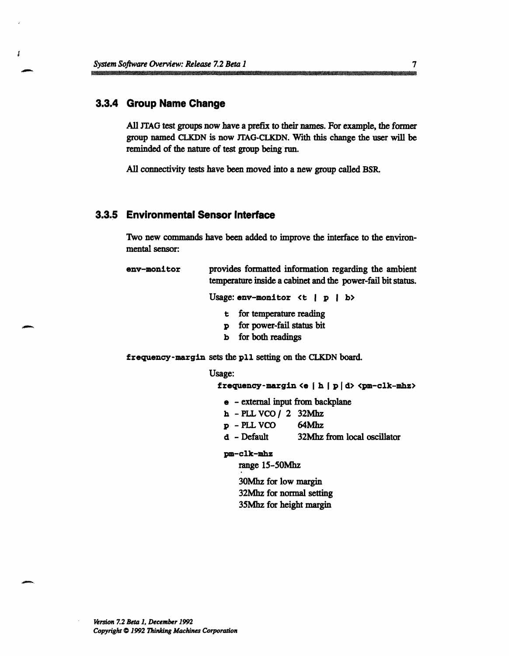System--I...... *So.w r Overview:- Release--7.2--Beta-1-7*

## **3.3.4 Group Name Change**

 $\mathbf{r}$ 

All JTAG test groups now have a prefix to their names. For example, the former group named CLKDN is now JTAG-CLKDN. With this change the user will be reminded of the nature of test group being run.

All connectivity tests have been moved into a new group called BSR.

## **3.3.5 Environmental Sensor Interface**

Two new commands have been added to improve the interface to the environmental sensor:

env-monitor provides formatted information regarding the ambient temperature inside a cabinet and the power-fail bit status.

Usage:  $env$ -monitor  $lt$  | p | b>

- t for temperature reading
- p for power-fail status bit
- b for both readings

frequency-margin sets the pll setting on the CLKDN board.

#### Usage:

```
frequency-margin \leq h | p | d \leq pm-clk-mhz
```
- e external input from backplane
- h *-PLL VCO/* 2 32Mhz
- p PLL VCO 64Mhz
- d Default 32Mhz from local oscillator

### pm-clk-mhz

range 15-50Mhz

30Mhz for low margin 32Mhz for normal setting 35Mhz for height margin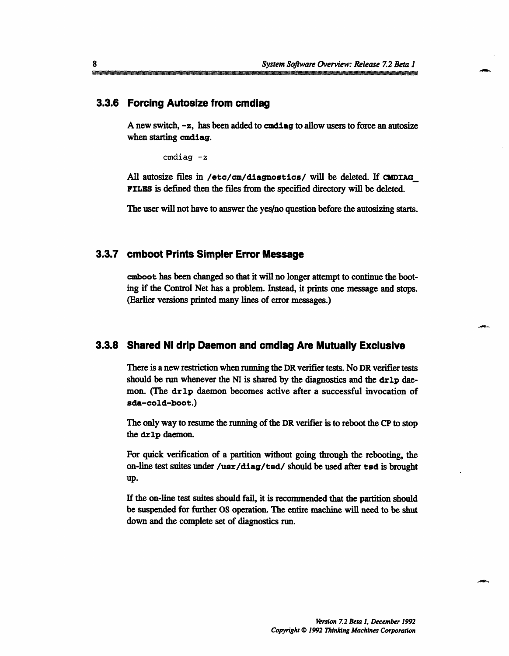### **3.3.6 Forcing Autosize from cmdiag**

A new switch, -z, has been added to cmdiag to allow users to force an autosize when starting cmdiag.

cmdiag -z

All autosize files in /etc/cm/diagnostics/ will be deleted. If CMDIAG FILES is defined then the files from the specified directory will be deleted.

The user will not have to answer the yes/no question before the autosizing starts.

### **3.3.7 cmboot Prints Simpler Error Message**

camboot has been changed so that it will no longer attempt to continue the booting if the Control Net has a problem. Instead, it prints one message and stops. (Earlier versions printed many lines of error messages.)

## **3.3.8 Shared NI drip Daemon and cmdiag Are Mutually Exclusive**

There is a new restriction when running the DR verifier tests. No DR verifier tests should be run whenever the NI is shared by the diagnostics and the dr1p daemon. (The dr1p daemon becomes active after a successful invocation of ada-cold-boot.)

The only way to resume the running of the DR verifier is to reboot the CP to stop the drlp daemon.

For quick verification of a partition without going through the rebooting, the on-line test suites under /usr/diag/tsd/ should be used after tad is brought up.

If the on-line test suites should fail, it is recommended that the partition should be suspended for further OS operation. The entire machine will need to be shut down and the complete set of diagnostics run.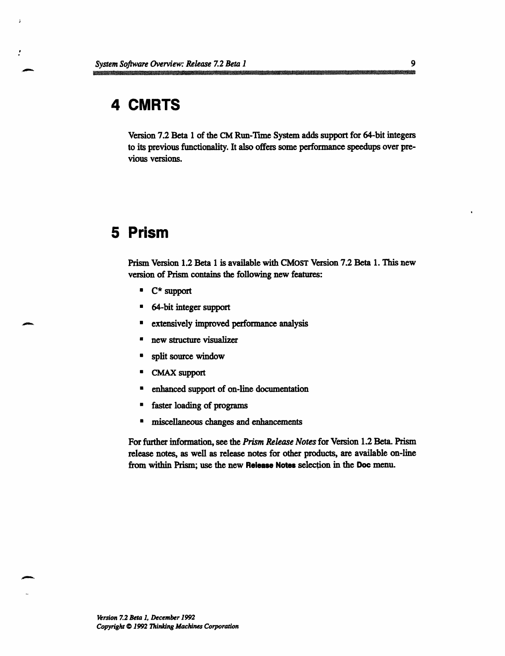## **4 CMRTS**

 $\frac{\epsilon}{\epsilon}$ 

Version 7.2 Beta 1 of the CM Run-Time System adds support for 64-bit integers to its previous functionality. It also offers some performance speedups over previous versions.

## **5 Prism**

Prism Version 1.2 Beta 1 is available with CMOST Version 7.2 Beta 1. This new version of Prism contains the following new features:

- · C\* support
- **·** 64-bit integer support
- **•** extensively improved performance analysis
- · new structure visualizer
- **·** split source window
- · CMAX support
- **E** enhanced support of on-line documentation
- faster loading of programs
- **·** miscellaneous changes and enhancements

For further information, see the *Prism Release Notes* for Version 1.2 Beta. Prism release notes, as well as release notes for other products, are available on-line from within Prism; use the new **Release Notes** selection in the Doc menu.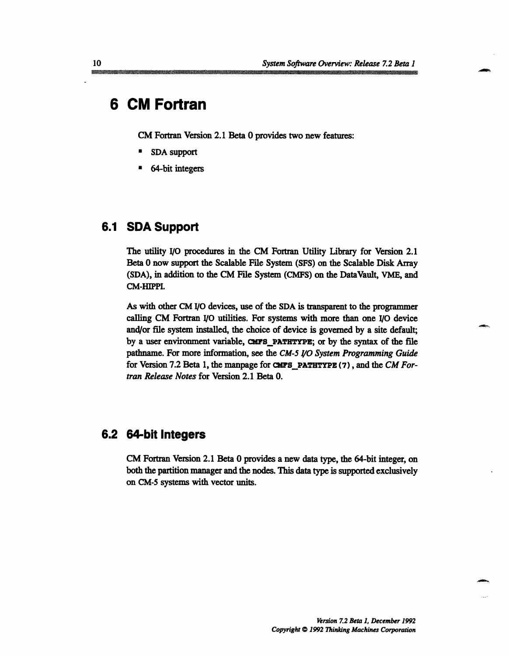## **6 CM Fortran**

CM Fortran Version 2.1 Beta 0 provides two new features:

- SDA support
- 64-bit integers

## **6.1 SDA Support**

The utility I/O procedures in the CM Fortran Utility Library for Version 2.1 Beta 0 now support the Scalable File System (SFS) on the Scalable Disk Array (SDA), in addition to the CM File System (CMFS) on the DataVault, VME, and CM-HIPPI.

As with other CM 1/0 devices, use of the SDA is transparent to the programmer calling CM Fortran I/O utilities. For systems with more than one 1/0 device and/or file system installed, the choice of device is governed by a site default; by a user environment variable, CMFS\_PATHTYPE; or by the syntax of the file pathname. For more information, see the *CM-5 I/O System Programming Guide* for Version 7.2 Beta 1, the manpage for CMFS PATHTYPE (7), and the *CM Fortran Release Notes* for Version 2.1 Beta 0.

## **6.2 64-bit Integers**

CM Fortran Version 2.1 Beta 0 provides a new data type, the 64-bit integer, on both the partition manager and the nodes. This data type is supported exclusively on CM-5 systems with vector units.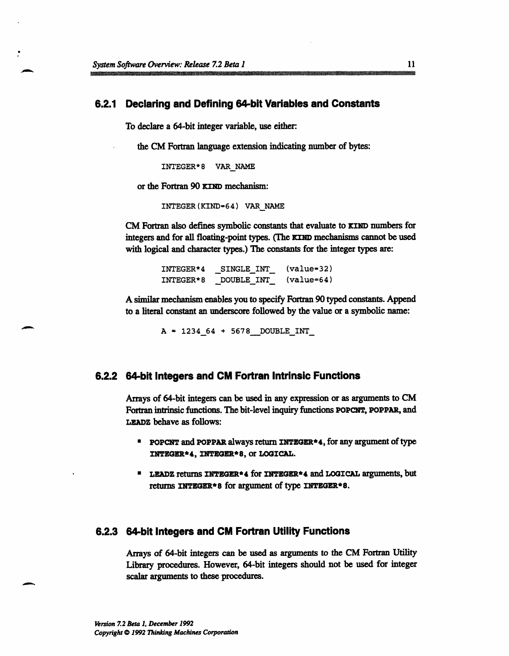### **6.2.1 Declaring and Defining 64-bit Variables and Constants**

To declare a 64-bit integer variable, use either:

the CM Fortran language extension indicating number of bytes:

INTEGER\*8 VAR NAME

or the Fortran 90 **KIND** mechanism:

INTEGER(KIND-64) VAR NAME

CM Fortran also defines symbolic constants that evaluate to **KIND** numbers for integers and for all floating-point types. (The KIND mechanisms cannot be used with logical and character types.) The constants for the integer types are:

> INTEGER\*4 SINGLE INT (value=32) INTEGER\*8 \_DOUBLE INT (value=64)

A similar mechanism enables you to specify Fortran 90 typed constants. Append to a literal constant an underscore followed by the value or a symbolic name:

 $A = 123464 + 5678$  DOUBLE INT

### **6.2.2 64-bit Integers and CM Fortran Intrinsic Functions**

Arrays of 64-bit integers can be used in any expression or as arguments to CM Fortran intrinsic functions. The bit-level inquiry functions **POPCNT, POPPAR,** and **LEADZ** behave as follows:

- **\*** POPCNT and POPPAR always return INTEGER\*4, for any argument of type **INTEGER\*4, INTEGER\*8,** or **LOGICAL.**
- **\* LEADZ** returns INTEGER\*4 for **INTEGER\*4** and LOGICAL arguments, but returns INTEGER\*8 for argument of type INTEGER\*8.

### **6.2.3 64-bit Integers and CM Fortran Utility Functions**

Arrays of 64-bit integers can be used as arguments to the CM Fortran Utility Library procedures. However, 64-bit integers should not be used for integer scalar arguments to these procedures.